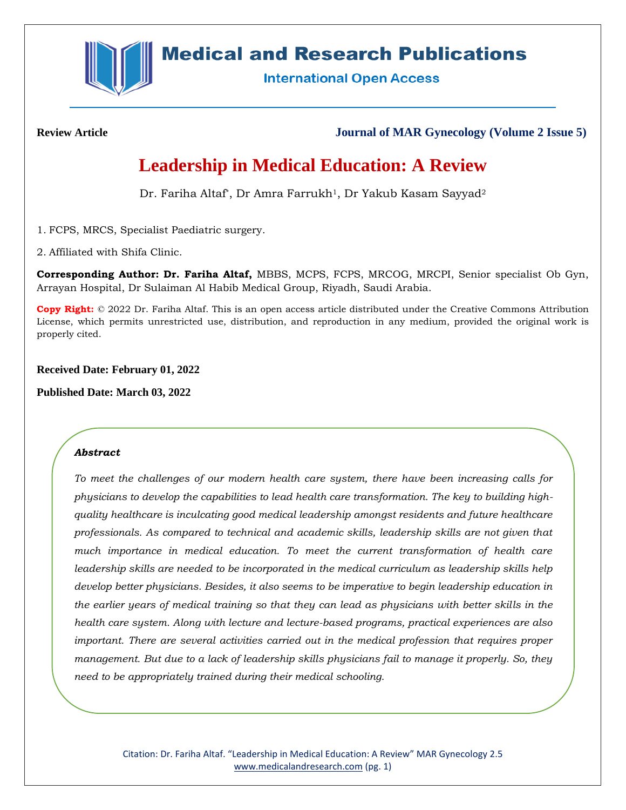

# **Medical and Research Publications**

**International Open Access** 

**Review Article Journal of MAR Gynecology (Volume 2 Issue 5)**

# **Leadership in Medical Education: A Review**

Dr. Fariha Altaf<sup>\*</sup>, Dr Amra Farrukh<sup>1</sup>, Dr Yakub Kasam Sayyad<sup>2</sup>

1. FCPS, MRCS, Specialist Paediatric surgery.

2. Affiliated with Shifa Clinic.

**Corresponding Author: Dr. Fariha Altaf,** MBBS, MCPS, FCPS, MRCOG, MRCPI, Senior specialist Ob Gyn, Arrayan Hospital, Dr Sulaiman Al Habib Medical Group, Riyadh, Saudi Arabia.

**Copy Right:** © 2022 Dr. Fariha Altaf. This is an open access article distributed under the Creative Commons Attribution License, which permits unrestricted use, distribution, and reproduction in any medium, provided the original work is properly cited.

**Received Date: February 01, 2022**

**Published Date: March 03, 2022**

# *Abstract*

*To meet the challenges of our modern health care system, there have been increasing calls for physicians to develop the capabilities to lead health care transformation. The key to building highquality healthcare is inculcating good medical leadership amongst residents and future healthcare professionals. As compared to technical and academic skills, leadership skills are not given that much importance in medical education. To meet the current transformation of health care leadership skills are needed to be incorporated in the medical curriculum as leadership skills help develop better physicians. Besides, it also seems to be imperative to begin leadership education in the earlier years of medical training so that they can lead as physicians with better skills in the health care system. Along with lecture and lecture-based programs, practical experiences are also important. There are several activities carried out in the medical profession that requires proper management. But due to a lack of leadership skills physicians fail to manage it properly. So, they need to be appropriately trained during their medical schooling.*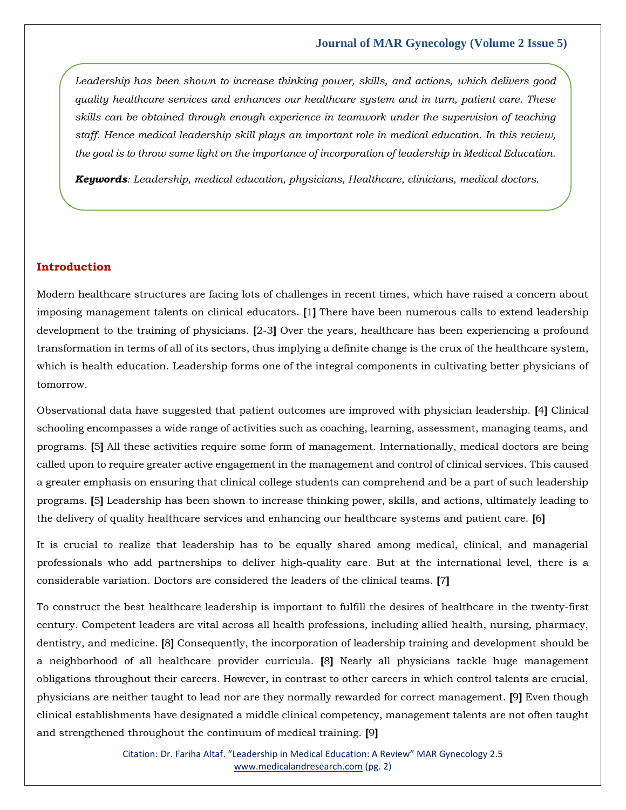*Leadership has been shown to increase thinking power, skills, and actions, which delivers good quality healthcare services and enhances our healthcare system and in turn, patient care. These skills can be obtained through enough experience in teamwork under the supervision of teaching staff. Hence medical leadership skill plays an important role in medical education. In this review, the goal is to throw some light on the importance of incorporation of leadership in Medical Education.*

*Keywords: Leadership, medical education, physicians, Healthcare, clinicians, medical doctors.*

### **Introduction**

Modern healthcare structures are facing lots of challenges in recent times, which have raised a concern about imposing management talents on clinical educators. **[**1**]** There have been numerous calls to extend leadership development to the training of physicians. **[**2-3**]** Over the years, healthcare has been experiencing a profound transformation in terms of all of its sectors, thus implying a definite change is the crux of the healthcare system, which is health education. Leadership forms one of the integral components in cultivating better physicians of tomorrow.

Observational data have suggested that patient outcomes are improved with physician leadership. **[**4**]** Clinical schooling encompasses a wide range of activities such as coaching, learning, assessment, managing teams, and programs. **[**5**]** All these activities require some form of management. Internationally, medical doctors are being called upon to require greater active engagement in the management and control of clinical services. This caused a greater emphasis on ensuring that clinical college students can comprehend and be a part of such leadership programs. **[**5**]** Leadership has been shown to increase thinking power, skills, and actions, ultimately leading to the delivery of quality healthcare services and enhancing our healthcare systems and patient care. **[**6**]**

It is crucial to realize that leadership has to be equally shared among medical, clinical, and managerial professionals who add partnerships to deliver high-quality care. But at the international level, there is a considerable variation. Doctors are considered the leaders of the clinical teams. **[**7**]**

To construct the best healthcare leadership is important to fulfill the desires of healthcare in the twenty-first century. Competent leaders are vital across all health professions, including allied health, nursing, pharmacy, dentistry, and medicine. **[**8**]** Consequently, the incorporation of leadership training and development should be a neighborhood of all healthcare provider curricula. **[**8**]** Nearly all physicians tackle huge management obligations throughout their careers. However, in contrast to other careers in which control talents are crucial, physicians are neither taught to lead nor are they normally rewarded for correct management. **[**9**]** Even though clinical establishments have designated a middle clinical competency, management talents are not often taught and strengthened throughout the continuum of medical training. **[**9**]**

> Citation: Dr. Fariha Altaf. "Leadership in Medical Education: A Review" MAR Gynecology 2.5 [www.medicalandresearch.com](http://www.medicalandresearch.com/) (pg. 2)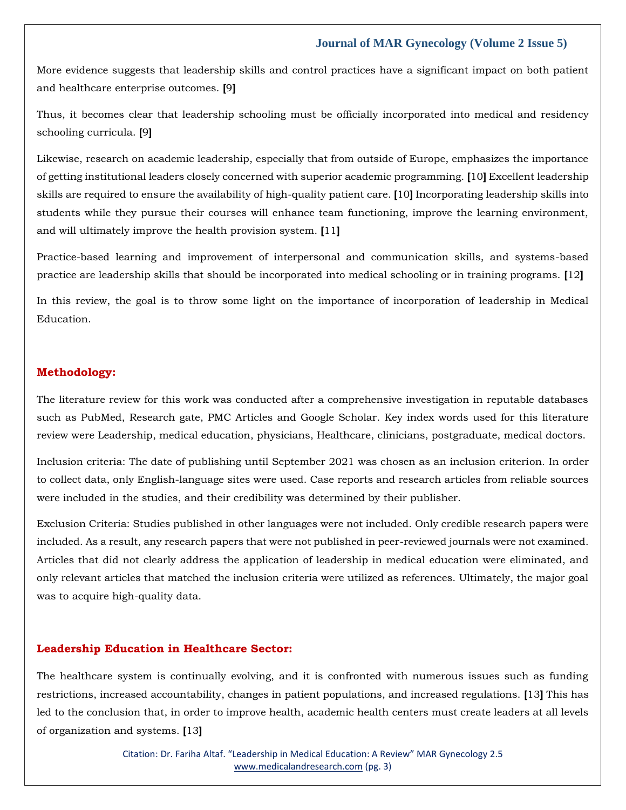More evidence suggests that leadership skills and control practices have a significant impact on both patient and healthcare enterprise outcomes. **[**9**]**

Thus, it becomes clear that leadership schooling must be officially incorporated into medical and residency schooling curricula. **[**9**]**

Likewise, research on academic leadership, especially that from outside of Europe, emphasizes the importance of getting institutional leaders closely concerned with superior academic programming. **[**10**]** Excellent leadership skills are required to ensure the availability of high-quality patient care. **[**10**]** Incorporating leadership skills into students while they pursue their courses will enhance team functioning, improve the learning environment, and will ultimately improve the health provision system. **[**11**]**

Practice-based learning and improvement of interpersonal and communication skills, and systems-based practice are leadership skills that should be incorporated into medical schooling or in training programs. **[**12**]**

In this review, the goal is to throw some light on the importance of incorporation of leadership in Medical Education.

#### **Methodology:**

The literature review for this work was conducted after a comprehensive investigation in reputable databases such as PubMed, Research gate, PMC Articles and Google Scholar. Key index words used for this literature review were Leadership, medical education, physicians, Healthcare, clinicians, postgraduate, medical doctors.

Inclusion criteria: The date of publishing until September 2021 was chosen as an inclusion criterion. In order to collect data, only English-language sites were used. Case reports and research articles from reliable sources were included in the studies, and their credibility was determined by their publisher.

Exclusion Criteria: Studies published in other languages were not included. Only credible research papers were included. As a result, any research papers that were not published in peer-reviewed journals were not examined. Articles that did not clearly address the application of leadership in medical education were eliminated, and only relevant articles that matched the inclusion criteria were utilized as references. Ultimately, the major goal was to acquire high-quality data.

#### **Leadership Education in Healthcare Sector:**

The healthcare system is continually evolving, and it is confronted with numerous issues such as funding restrictions, increased accountability, changes in patient populations, and increased regulations. **[**13**]** This has led to the conclusion that, in order to improve health, academic health centers must create leaders at all levels of organization and systems. **[**13**]**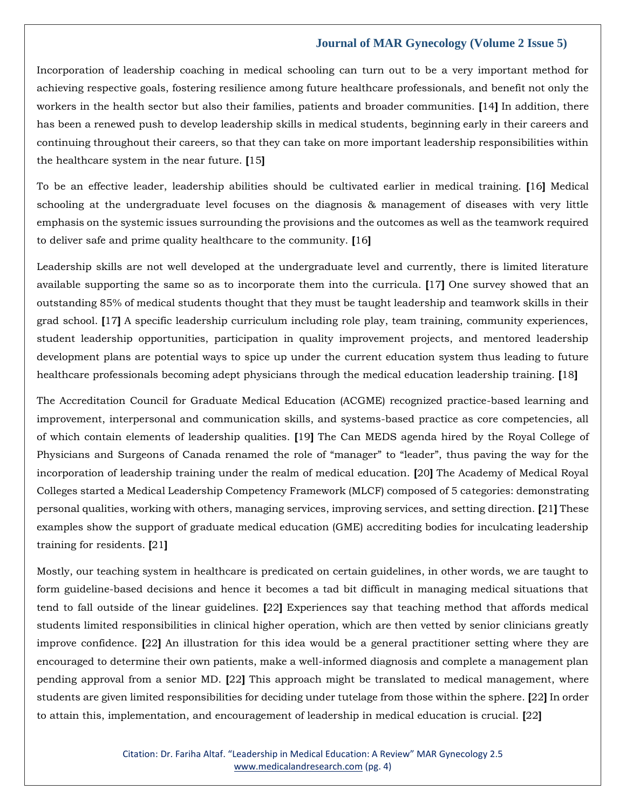Incorporation of leadership coaching in medical schooling can turn out to be a very important method for achieving respective goals, fostering resilience among future healthcare professionals, and benefit not only the workers in the health sector but also their families, patients and broader communities. **[**14**]** In addition, there has been a renewed push to develop leadership skills in medical students, beginning early in their careers and continuing throughout their careers, so that they can take on more important leadership responsibilities within the healthcare system in the near future. **[**15**]**

To be an effective leader, leadership abilities should be cultivated earlier in medical training. **[**16**]** Medical schooling at the undergraduate level focuses on the diagnosis & management of diseases with very little emphasis on the systemic issues surrounding the provisions and the outcomes as well as the teamwork required to deliver safe and prime quality healthcare to the community. **[**16**]**

Leadership skills are not well developed at the undergraduate level and currently, there is limited literature available supporting the same so as to incorporate them into the curricula. **[**17**]** One survey showed that an outstanding 85% of medical students thought that they must be taught leadership and teamwork skills in their grad school. **[**17**]** A specific leadership curriculum including role play, team training, community experiences, student leadership opportunities, participation in quality improvement projects, and mentored leadership development plans are potential ways to spice up under the current education system thus leading to future healthcare professionals becoming adept physicians through the medical education leadership training. **[**18**]**

The Accreditation Council for Graduate Medical Education (ACGME) recognized practice-based learning and improvement, interpersonal and communication skills, and systems-based practice as core competencies, all of which contain elements of leadership qualities. **[**19**]** The Can MEDS agenda hired by the Royal College of Physicians and Surgeons of Canada renamed the role of "manager" to "leader", thus paving the way for the incorporation of leadership training under the realm of medical education. **[**20**]** The Academy of Medical Royal Colleges started a Medical Leadership Competency Framework (MLCF) composed of 5 categories: demonstrating personal qualities, working with others, managing services, improving services, and setting direction. **[**21**]** These examples show the support of graduate medical education (GME) accrediting bodies for inculcating leadership training for residents. **[**21**]**

Mostly, our teaching system in healthcare is predicated on certain guidelines, in other words, we are taught to form guideline-based decisions and hence it becomes a tad bit difficult in managing medical situations that tend to fall outside of the linear guidelines. **[**22**]** Experiences say that teaching method that affords medical students limited responsibilities in clinical higher operation, which are then vetted by senior clinicians greatly improve confidence. **[**22**]** An illustration for this idea would be a general practitioner setting where they are encouraged to determine their own patients, make a well-informed diagnosis and complete a management plan pending approval from a senior MD. **[**22**]** This approach might be translated to medical management, where students are given limited responsibilities for deciding under tutelage from those within the sphere. **[**22**]** In order to attain this, implementation, and encouragement of leadership in medical education is crucial. **[**22**]**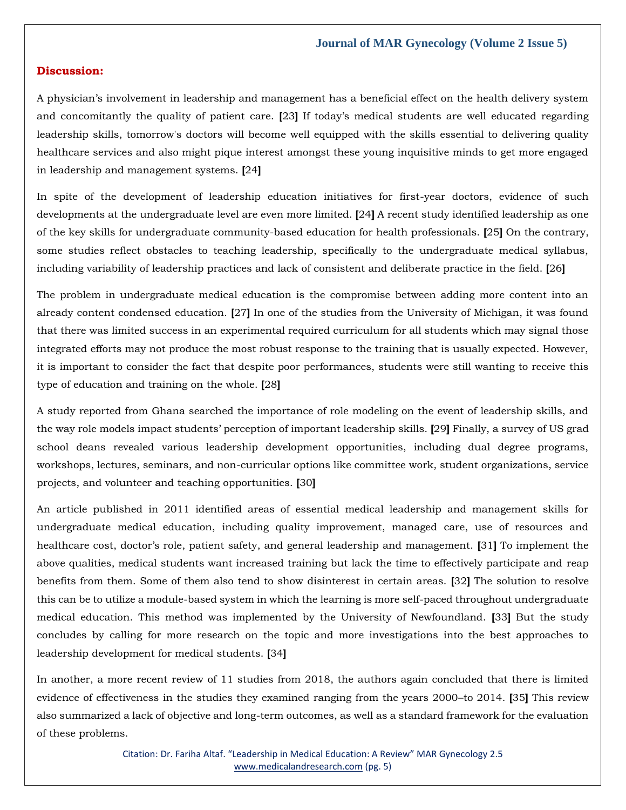## **Discussion:**

A physician's involvement in leadership and management has a beneficial effect on the health delivery system and concomitantly the quality of patient care. **[**23**]** If today's medical students are well educated regarding leadership skills, tomorrow's doctors will become well equipped with the skills essential to delivering quality healthcare services and also might pique interest amongst these young inquisitive minds to get more engaged in leadership and management systems. **[**24**]**

In spite of the development of leadership education initiatives for first-year doctors, evidence of such developments at the undergraduate level are even more limited. **[**24**]** A recent study identified leadership as one of the key skills for undergraduate community-based education for health professionals. **[**25**]** On the contrary, some studies reflect obstacles to teaching leadership, specifically to the undergraduate medical syllabus, including variability of leadership practices and lack of consistent and deliberate practice in the field. **[**26**]**

The problem in undergraduate medical education is the compromise between adding more content into an already content condensed education. **[**27**]** In one of the studies from the University of Michigan, it was found that there was limited success in an experimental required curriculum for all students which may signal those integrated efforts may not produce the most robust response to the training that is usually expected. However, it is important to consider the fact that despite poor performances, students were still wanting to receive this type of education and training on the whole. **[**28**]**

A study reported from Ghana searched the importance of role modeling on the event of leadership skills, and the way role models impact students' perception of important leadership skills. **[**29**]** Finally, a survey of US grad school deans revealed various leadership development opportunities, including dual degree programs, workshops, lectures, seminars, and non-curricular options like committee work, student organizations, service projects, and volunteer and teaching opportunities. **[**30**]**

An article published in 2011 identified areas of essential medical leadership and management skills for undergraduate medical education, including quality improvement, managed care, use of resources and healthcare cost, doctor's role, patient safety, and general leadership and management. **[**31**]** To implement the above qualities, medical students want increased training but lack the time to effectively participate and reap benefits from them. Some of them also tend to show disinterest in certain areas. **[**32**]** The solution to resolve this can be to utilize a module-based system in which the learning is more self-paced throughout undergraduate medical education. This method was implemented by the University of Newfoundland. **[**33**]** But the study concludes by calling for more research on the topic and more investigations into the best approaches to leadership development for medical students. **[**34**]**

In another, a more recent review of 11 studies from 2018, the authors again concluded that there is limited evidence of effectiveness in the studies they examined ranging from the years 2000–to 2014. **[**35**]** This review also summarized a lack of objective and long-term outcomes, as well as a standard framework for the evaluation of these problems.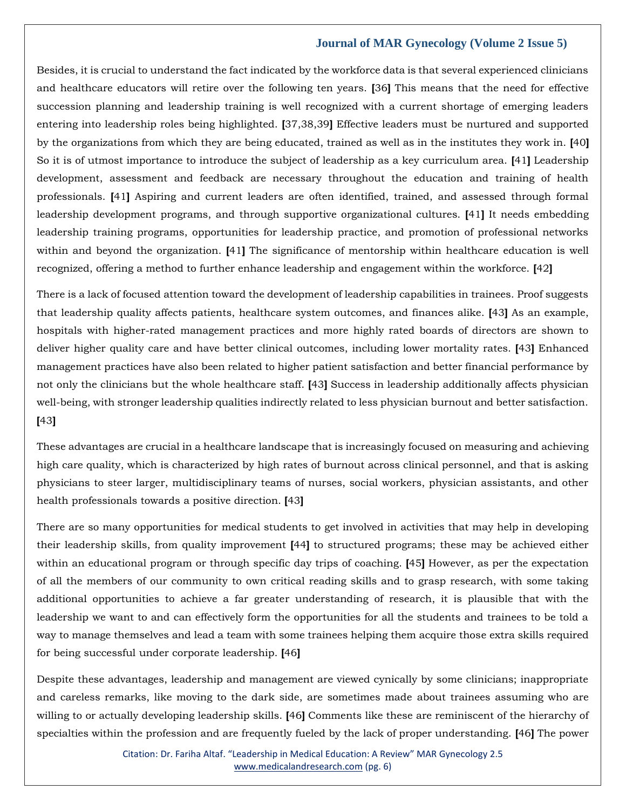Besides, it is crucial to understand the fact indicated by the workforce data is that several experienced clinicians and healthcare educators will retire over the following ten years. **[**36**]** This means that the need for effective succession planning and leadership training is well recognized with a current shortage of emerging leaders entering into leadership roles being highlighted. **[**37,38,39**]** Effective leaders must be nurtured and supported by the organizations from which they are being educated, trained as well as in the institutes they work in. **[**40**]** So it is of utmost importance to introduce the subject of leadership as a key curriculum area. **[**41**]** Leadership development, assessment and feedback are necessary throughout the education and training of health professionals. **[**41**]** Aspiring and current leaders are often identified, trained, and assessed through formal leadership development programs, and through supportive organizational cultures. **[**41**]** It needs embedding leadership training programs, opportunities for leadership practice, and promotion of professional networks within and beyond the organization. **[**41**]** The significance of mentorship within healthcare education is well recognized, offering a method to further enhance leadership and engagement within the workforce. **[**42**]**

There is a lack of focused attention toward the development of leadership capabilities in trainees. Proof suggests that leadership quality affects patients, healthcare system outcomes, and finances alike. **[**43**]** As an example, hospitals with higher-rated management practices and more highly rated boards of directors are shown to deliver higher quality care and have better clinical outcomes, including lower mortality rates. **[**43**]** Enhanced management practices have also been related to higher patient satisfaction and better financial performance by not only the clinicians but the whole healthcare staff. **[**43**]** Success in leadership additionally affects physician well-being, with stronger leadership qualities indirectly related to less physician burnout and better satisfaction. **[**43**]**

These advantages are crucial in a healthcare landscape that is increasingly focused on measuring and achieving high care quality, which is characterized by high rates of burnout across clinical personnel, and that is asking physicians to steer larger, multidisciplinary teams of nurses, social workers, physician assistants, and other health professionals towards a positive direction. **[**43**]**

There are so many opportunities for medical students to get involved in activities that may help in developing their leadership skills, from quality improvement **[**44**]** to structured programs; these may be achieved either within an educational program or through specific day trips of coaching. **[**45**]** However, as per the expectation of all the members of our community to own critical reading skills and to grasp research, with some taking additional opportunities to achieve a far greater understanding of research, it is plausible that with the leadership we want to and can effectively form the opportunities for all the students and trainees to be told a way to manage themselves and lead a team with some trainees helping them acquire those extra skills required for being successful under corporate leadership. **[**46**]**

Despite these advantages, leadership and management are viewed cynically by some clinicians; inappropriate and careless remarks, like moving to the dark side, are sometimes made about trainees assuming who are willing to or actually developing leadership skills. **[**46**]** Comments like these are reminiscent of the hierarchy of specialties within the profession and are frequently fueled by the lack of proper understanding. **[**46**]** The power

> Citation: Dr. Fariha Altaf. "Leadership in Medical Education: A Review" MAR Gynecology 2.5 [www.medicalandresearch.com](http://www.medicalandresearch.com/) (pg. 6)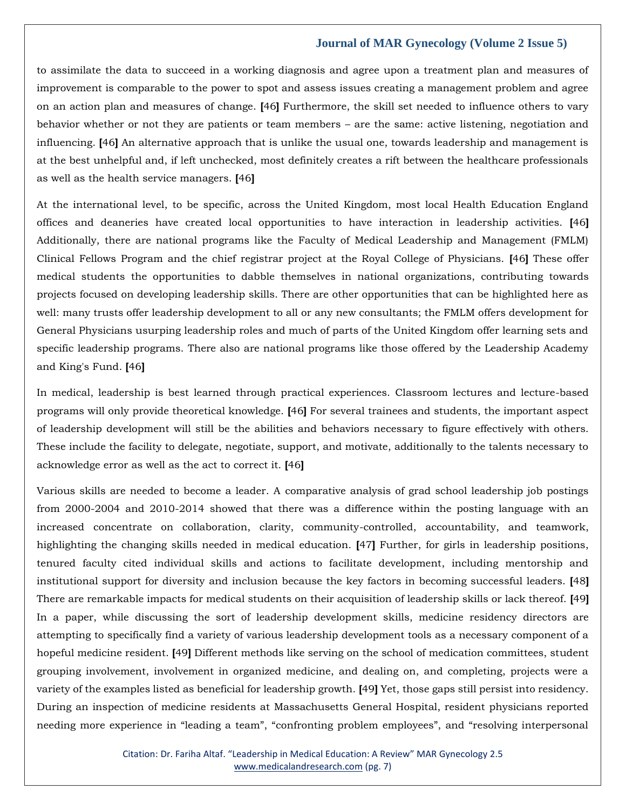to assimilate the data to succeed in a working diagnosis and agree upon a treatment plan and measures of improvement is comparable to the power to spot and assess issues creating a management problem and agree on an action plan and measures of change. **[**46**]** Furthermore, the skill set needed to influence others to vary behavior whether or not they are patients or team members – are the same: active listening, negotiation and influencing. **[**46**]** An alternative approach that is unlike the usual one, towards leadership and management is at the best unhelpful and, if left unchecked, most definitely creates a rift between the healthcare professionals as well as the health service managers. **[**46**]**

At the international level, to be specific, across the United Kingdom, most local Health Education England offices and deaneries have created local opportunities to have interaction in leadership activities. **[**46**]** Additionally, there are national programs like the Faculty of Medical Leadership and Management (FMLM) Clinical Fellows Program and the chief registrar project at the Royal College of Physicians. **[**46**]** These offer medical students the opportunities to dabble themselves in national organizations, contributing towards projects focused on developing leadership skills. There are other opportunities that can be highlighted here as well: many trusts offer leadership development to all or any new consultants; the FMLM offers development for General Physicians usurping leadership roles and much of parts of the United Kingdom offer learning sets and specific leadership programs. There also are national programs like those offered by the Leadership Academy and King's Fund. **[**46**]**

In medical, leadership is best learned through practical experiences. Classroom lectures and lecture-based programs will only provide theoretical knowledge. **[**46**]** For several trainees and students, the important aspect of leadership development will still be the abilities and behaviors necessary to figure effectively with others. These include the facility to delegate, negotiate, support, and motivate, additionally to the talents necessary to acknowledge error as well as the act to correct it. **[**46**]**

Various skills are needed to become a leader. A comparative analysis of grad school leadership job postings from 2000-2004 and 2010-2014 showed that there was a difference within the posting language with an increased concentrate on collaboration, clarity, community-controlled, accountability, and teamwork, highlighting the changing skills needed in medical education. **[**47**]** Further, for girls in leadership positions, tenured faculty cited individual skills and actions to facilitate development, including mentorship and institutional support for diversity and inclusion because the key factors in becoming successful leaders. **[**48**]** There are remarkable impacts for medical students on their acquisition of leadership skills or lack thereof. **[**49**]** In a paper, while discussing the sort of leadership development skills, medicine residency directors are attempting to specifically find a variety of various leadership development tools as a necessary component of a hopeful medicine resident. **[**49**]** Different methods like serving on the school of medication committees, student grouping involvement, involvement in organized medicine, and dealing on, and completing, projects were a variety of the examples listed as beneficial for leadership growth. **[**49**]** Yet, those gaps still persist into residency. During an inspection of medicine residents at Massachusetts General Hospital, resident physicians reported needing more experience in "leading a team", "confronting problem employees", and "resolving interpersonal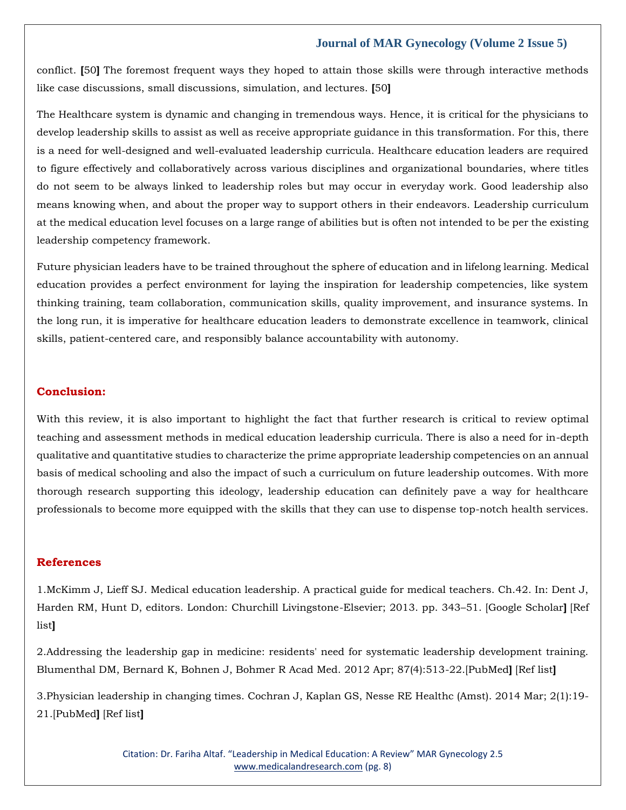conflict. **[**50**]** The foremost frequent ways they hoped to attain those skills were through interactive methods like case discussions, small discussions, simulation, and lectures. **[**50**]**

The Healthcare system is dynamic and changing in tremendous ways. Hence, it is critical for the physicians to develop leadership skills to assist as well as receive appropriate guidance in this transformation. For this, there is a need for well-designed and well-evaluated leadership curricula. Healthcare education leaders are required to figure effectively and collaboratively across various disciplines and organizational boundaries, where titles do not seem to be always linked to leadership roles but may occur in everyday work. Good leadership also means knowing when, and about the proper way to support others in their endeavors. Leadership curriculum at the medical education level focuses on a large range of abilities but is often not intended to be per the existing leadership competency framework.

Future physician leaders have to be trained throughout the sphere of education and in lifelong learning. Medical education provides a perfect environment for laying the inspiration for leadership competencies, like system thinking training, team collaboration, communication skills, quality improvement, and insurance systems. In the long run, it is imperative for healthcare education leaders to demonstrate excellence in teamwork, clinical skills, patient-centered care, and responsibly balance accountability with autonomy.

#### **Conclusion:**

With this review, it is also important to highlight the fact that further research is critical to review optimal teaching and assessment methods in medical education leadership curricula. There is also a need for in-depth qualitative and quantitative studies to characterize the prime appropriate leadership competencies on an annual basis of medical schooling and also the impact of such a curriculum on future leadership outcomes. With more thorough research supporting this ideology, leadership education can definitely pave a way for healthcare professionals to become more equipped with the skills that they can use to dispense top-notch health services.

## **References**

1.McKimm J, Lieff SJ. Medical education leadership. A practical guide for medical teachers. Ch.42. In: Dent J, Harden RM, Hunt D, editors. London: Churchill Livingstone-Elsevier; 2013. pp. 343–51. [\[Google Scholar](https://scholar.google.com/scholar?q=McKimm+J+Lieff+SJ+Dent+J+Harden+RM+Hunt+D+Medical+education+leadership+A+practical+guide+for+medical+teachers.+Ch.42+2013+London+Churchill+Livingstone-Elsevier+343+51+)**]** [\[Ref](https://www.ncbi.nlm.nih.gov/pmc/articles/PMC5968745/#ref1)  [list](https://www.ncbi.nlm.nih.gov/pmc/articles/PMC5968745/#ref1)**]**

2.Addressing the leadership gap in medicine: residents' need for systematic leadership development training. Blumenthal DM, Bernard K, Bohnen J, Bohmer R Acad Med. 2012 Apr; 87(4):513-22.[\[PubMed](https://www.ncbi.nlm.nih.gov/pubmed/22361800/)**]** [\[Ref list](https://www.ncbi.nlm.nih.gov/pmc/articles/PMC5901791/#i1949-8357-10-2-134-b01)**]**

3.Physician leadership in changing times. Cochran J, Kaplan GS, Nesse RE Healthc (Amst). 2014 Mar; 2(1):19- 21.[\[PubMed](https://www.ncbi.nlm.nih.gov/pubmed/26250084/)**]** [\[Ref list](https://www.ncbi.nlm.nih.gov/pmc/articles/PMC5901791/#i1949-8357-10-2-134-b03)**]**

> Citation: Dr. Fariha Altaf. "Leadership in Medical Education: A Review" MAR Gynecology 2.5 [www.medicalandresearch.com](http://www.medicalandresearch.com/) (pg. 8)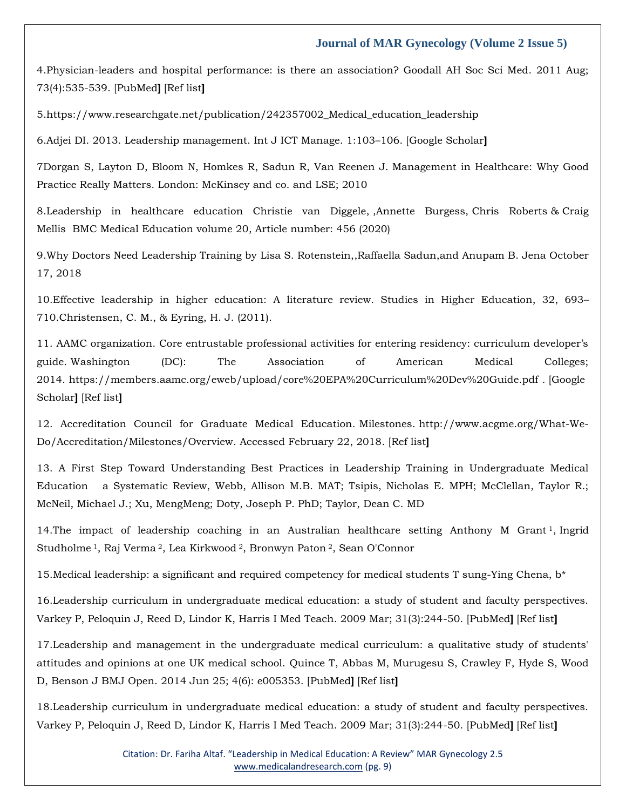4.Physician-leaders and hospital performance: is there an association? Goodall AH Soc Sci Med. 2011 Aug; 73(4):535-539. [\[PubMed](https://www.ncbi.nlm.nih.gov/pubmed/21802184/)**]** [\[Ref](https://www.ncbi.nlm.nih.gov/pmc/articles/PMC5901791/#i1949-8357-10-2-134-b04) list**]**

5[.https://www.researchgate.net/publication/242357002\\_Medical\\_education\\_leadership](https://www.researchgate.net/publication/242357002_Medical_education_leadership)

6.Adjei DI. 2013. Leadership management. Int J ICT Manage. 1:103–106. [\[Google Scholar](http://scholar.google.com/scholar_lookup?hl=en&volume=1&publication_year=2013&pages=103-106&author=DI+Adjei&title=Leadership+management)**]**

7Dorgan S, Layton D, Bloom N, Homkes R, Sadun R, Van Reenen J. Management in Healthcare: Why Good Practice Really Matters. London: McKinsey and co. and LSE; 2010

8.Leadership in healthcare education [Christie van Diggele,](about:blank) [,Annette Burgess,](https://bmcmededuc.biomedcentral.com/articles/10.1186/s12909-020-02288-x#auth-Annette-Burgess) [Chris Roberts](https://bmcmededuc.biomedcentral.com/articles/10.1186/s12909-020-02288-x#auth-Chris-Roberts) & [Craig](https://bmcmededuc.biomedcentral.com/articles/10.1186/s12909-020-02288-x#auth-Craig-Mellis)  [Mellis](https://bmcmededuc.biomedcentral.com/articles/10.1186/s12909-020-02288-x#auth-Craig-Mellis) [BMC Medical Education](https://bmcmededuc.biomedcentral.com/) volume 20, Article number: 456 (2020)

9.Why Doctors Need Leadership Training by [Lisa S. Rotenstein,](https://hbr.org/search?term=lisa%20s.%20rotenstein)[,Raffaella Sadun,a](https://hbr.org/search?term=raffaella%20sadun)nd [Anupam B. Jena](https://hbr.org/search?term=anupam%20b.%20jena) October 17, 2018

10.Effective leadership in higher education: A literature review. Studies in Higher Education, 32, 693– 710.Christensen, C. M., & Eyring, H. J. (2011).

11. AAMC organization. Core entrustable professional activities for entering residency: curriculum developer's guide. Washington (DC): The Association of American Medical Colleges; 2014. <https://members.aamc.org/eweb/upload/core%20EPA%20Curriculum%20Dev%20Guide.pdf> . [\[Google](https://scholar.google.com/scholar_lookup?title=AAMC+organization.+Core+entrustable+professional+activities+for+entering+residency:+curriculum+developer%E2%80%99s+guide&publication_year=2014&)  [Scholar](https://scholar.google.com/scholar_lookup?title=AAMC+organization.+Core+entrustable+professional+activities+for+entering+residency:+curriculum+developer%E2%80%99s+guide&publication_year=2014&)**]** [\[Ref list](https://www.ncbi.nlm.nih.gov/pmc/articles/PMC5419299/#CIT0008)**]**

12. Accreditation Council for Graduate Medical Education. Milestones. [http://www.acgme.org/What-We-](http://www.acgme.org/What-We-Do/Accreditation/Milestones/Overview)[Do/Accreditation/Milestones/Overview.](http://www.acgme.org/What-We-Do/Accreditation/Milestones/Overview) Accessed February 22, 2018. [\[Ref list](https://www.ncbi.nlm.nih.gov/pmc/articles/PMC5901791/#i1949-8357-10-2-134-b08)**]**

13. A First Step Toward Understanding Best Practices in Leadership Training in Undergraduate Medical Education a Systematic Review, Webb, Allison M.B. MAT; Tsipis, Nicholas E. MPH; McClellan, Taylor R.; McNeil, Michael J.; Xu, MengMeng; Doty, Joseph P. PhD; Taylor, Dean C. MD

14.The impact of leadership coaching in an Australian healthcare setting [Anthony M Grant](https://pubmed.ncbi.nlm.nih.gov/?term=Grant+AM&cauthor_id=28482767)<sup>[1](https://pubmed.ncbi.nlm.nih.gov/28482767/#affiliation-1)</sup>, Ingrid [Studholme](https://pubmed.ncbi.nlm.nih.gov/?term=Studholme+I&cauthor_id=28482767) <sup>1</sup>[,](https://pubmed.ncbi.nlm.nih.gov/28482767/#affiliation-1) [Raj Verma](https://pubmed.ncbi.nlm.nih.gov/?term=Verma+R&cauthor_id=28482767) [2](https://pubmed.ncbi.nlm.nih.gov/28482767/#affiliation-2), [Lea Kirkwood](https://pubmed.ncbi.nlm.nih.gov/?term=Kirkwood+L&cauthor_id=28482767) [2](https://pubmed.ncbi.nlm.nih.gov/28482767/#affiliation-2), [Bronwyn Paton](https://pubmed.ncbi.nlm.nih.gov/?term=Paton+B&cauthor_id=28482767) [2](https://pubmed.ncbi.nlm.nih.gov/28482767/#affiliation-2), [Sean O'Connor](https://pubmed.ncbi.nlm.nih.gov/?term=O%27Connor+S&cauthor_id=28482767)

15. Medical leadership: a significant and required competency for medical students T sung-Ying Chena,  $b^*$ 

16.Leadership curriculum in undergraduate medical education: a study of student and faculty perspectives. Varkey P, Peloquin J, Reed D, Lindor K, Harris I Med Teach. 2009 Mar; 31(3):244-50. [\[PubMed](https://www.ncbi.nlm.nih.gov/pubmed/18825566/)**]** [\[Ref list](https://www.ncbi.nlm.nih.gov/pmc/articles/PMC5968745/#ref2)**]**

17.Leadership and management in the undergraduate medical curriculum: a qualitative study of students' attitudes and opinions at one UK medical school. Quince T, Abbas M, Murugesu S, Crawley F, Hyde S, Wood D, Benson J BMJ Open. 2014 Jun 25; 4(6): e005353. [\[PubMed](https://www.ncbi.nlm.nih.gov/pubmed/24965917/)**]** [\[Ref list](https://www.ncbi.nlm.nih.gov/pmc/articles/PMC5968745/#ref4)**]**

18.Leadership curriculum in undergraduate medical education: a study of student and faculty perspectives. Varkey P, Peloquin J, Reed D, Lindor K, Harris I Med Teach. 2009 Mar; 31(3):244-50. [\[PubMed](https://www.ncbi.nlm.nih.gov/pubmed/18825566/)**]** [\[Ref list](https://www.ncbi.nlm.nih.gov/pmc/articles/PMC5968745/#ref2)**]**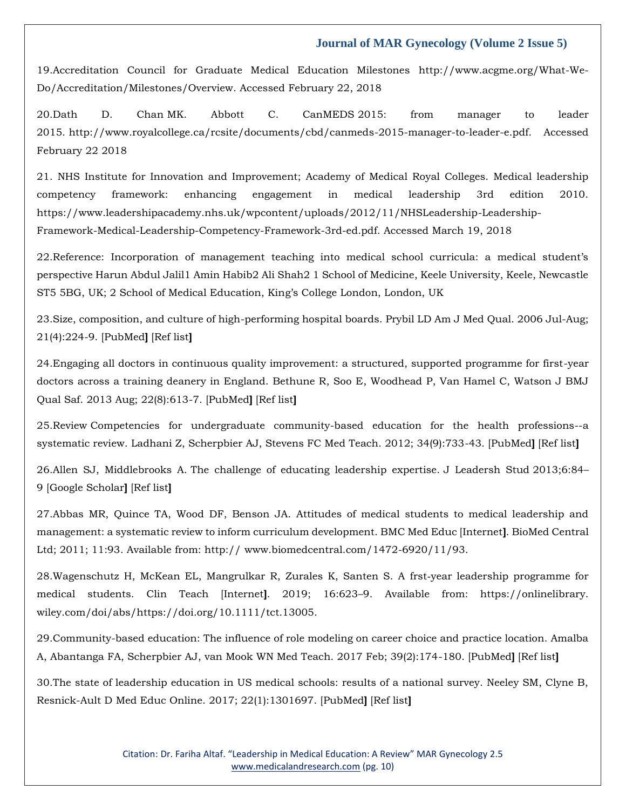19.Accreditation Council for Graduate Medical Education Milestones [http://www.acgme.org/What-We-](http://www.acgme.org/What-We-Do/Accreditation/Milestones/Overview)[Do/Accreditation/Milestones/Overview.](http://www.acgme.org/What-We-Do/Accreditation/Milestones/Overview) Accessed February 22, 2018

20.Dath D. Chan MK. Abbott C. CanMEDS 2015: from manager to leader 2015. [http://www.royalcollege.ca/rcsite/documents/cbd/canmeds-2015-manager-to-leader-e.pdf. Accessed](http://www.royalcollege.ca/rcsite/documents/cbd/canmeds-2015-manager-to-leader-e.pdf.%20Accessed%20February%2022%202018)  [February 22 2018](http://www.royalcollege.ca/rcsite/documents/cbd/canmeds-2015-manager-to-leader-e.pdf.%20Accessed%20February%2022%202018)

21. NHS Institute for Innovation and Improvement; Academy of Medical Royal Colleges. Medical leadership competency framework: enhancing engagement in medical leadership 3rd edition 2010. [https://www.leadershipacademy.nhs.uk/wpcontent/uploads/2012/11/NHSLeadership-Leadership-](https://www.leadershipacademy.nhs.uk/wpcontent/uploads/2012/11/NHSLeadership-Leadership-Framework-Medical-Leadership-Competency-Framework-3rd-ed.pdf)[Framework-Medical-Leadership-Competency-Framework-3rd-ed.pdf.](https://www.leadershipacademy.nhs.uk/wpcontent/uploads/2012/11/NHSLeadership-Leadership-Framework-Medical-Leadership-Competency-Framework-3rd-ed.pdf) Accessed March 19, 2018

22.Reference: Incorporation of management teaching into medical school curricula: a medical student's perspective Harun Abdul Jalil1 Amin Habib2 Ali Shah2 1 School of Medicine, Keele University, Keele, Newcastle ST5 5BG, UK; 2 School of Medical Education, King's College London, London, UK

23.Size, composition, and culture of high-performing hospital boards. Prybil LD Am J Med Qual. 2006 Jul-Aug; 21(4):224-9. [\[PubMed](https://www.ncbi.nlm.nih.gov/pubmed/16849778/)**]** [\[Ref list](https://www.ncbi.nlm.nih.gov/pmc/articles/PMC4078777/#R8)**]**

24.Engaging all doctors in continuous quality improvement: a structured, supported programme for first-year doctors across a training deanery in England. Bethune R, Soo E, Woodhead P, Van Hamel C, Watson J BMJ Qual Saf. 2013 Aug; 22(8):613-7. [\[PubMed](https://www.ncbi.nlm.nih.gov/pubmed/23661281/)**]** [\[Ref list](https://www.ncbi.nlm.nih.gov/pmc/articles/PMC4078777/#R16)**]**

25.Review Competencies for undergraduate community-based education for the health professions--a systematic review. Ladhani Z, Scherpbier AJ, Stevens FC Med Teach. 2012; 34(9):733-43. [\[PubMed](https://www.ncbi.nlm.nih.gov/pubmed/22905658/)**]** [\[Ref list](https://www.ncbi.nlm.nih.gov/pmc/articles/PMC4078777/#R24)**]**

26.Allen SJ, Middlebrooks A. The challenge of educating leadership expertise. J Leadersh Stud 2013;6:84– 9 [\[Google Scholar](https://scholar.google.com/scholar_lookup?journal=J+Leadersh+Stud&title=The+challenge+of+educating+leadership+expertise&author=SJ+Allen&author=A+Middlebrooks&volume=6&publication_year=2013&pages=84-9&)**]** [\[Ref list](https://www.ncbi.nlm.nih.gov/pmc/articles/PMC4078777/#R29)**]**

27.Abbas MR, Quince TA, Wood DF, Benson JA. Attitudes of medical students to medical leadership and management: a systematic review to inform curriculum development. BMC Med Educ [Internet**]**. BioMed Central Ltd; 2011; 11:93. Available from: http:// www.biomedcentral.com/1472-6920/11/93.

28.Wagenschutz H, McKean EL, Mangrulkar R, Zurales K, Santen S. A frst‐year leadership programme for medical students. Clin Teach [Internet**]**. 2019; 16:623–9. Available from: https://onlinelibrary. wiley.com/doi/abs/https://doi.org/10.1111/tct.13005.

29.Community-based education: The influence of role modeling on career choice and practice location. Amalba A, Abantanga FA, Scherpbier AJ, van Mook WN Med Teach. 2017 Feb; 39(2):174-180. [\[PubMed](https://www.ncbi.nlm.nih.gov/pubmed/27841070/)**]** [\[Ref list](https://www.ncbi.nlm.nih.gov/pmc/articles/PMC8131083/#CR5)**]**

30.The state of leadership education in US medical schools: results of a national survey. Neeley SM, Clyne B, Resnick-Ault D Med Educ Online. 2017; 22(1):1301697. [\[PubMed](https://www.ncbi.nlm.nih.gov/pubmed/28298155/)**]** [\[Ref list](https://www.ncbi.nlm.nih.gov/pmc/articles/PMC8131083/#CR6)**]**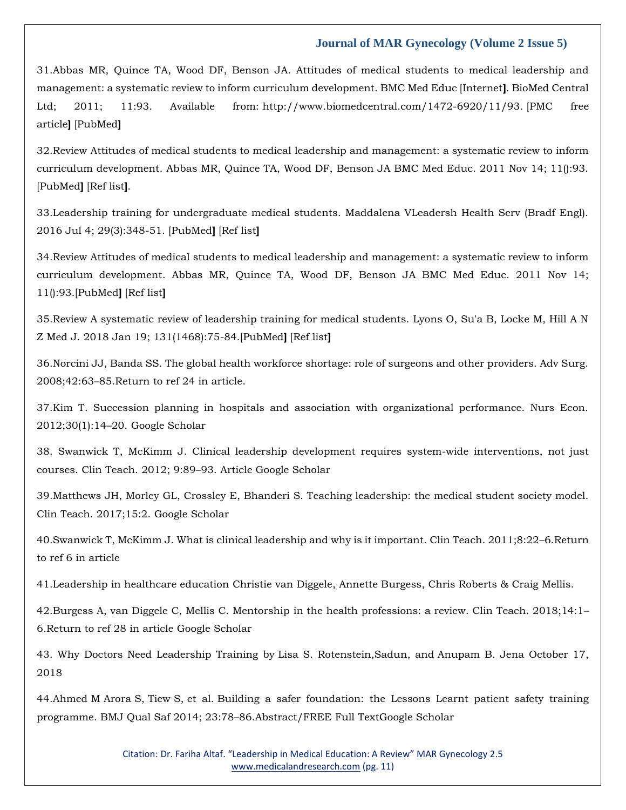31.Abbas MR, Quince TA, Wood DF, Benson JA. Attitudes of medical students to medical leadership and management: a systematic review to inform curriculum development. BMC Med Educ [Internet**]**. BioMed Central Ltd; 2011; 11:93. Available from: [http://www.biomedcentral.com/1472-6920/11/93.](http://www.biomedcentral.com/1472-6920/11/93) [\[PMC free](https://www.ncbi.nlm.nih.gov/pmc/articles/PMC3247079/)  [article](https://www.ncbi.nlm.nih.gov/pmc/articles/PMC3247079/)**]** [\[PubMed](https://www.ncbi.nlm.nih.gov/pubmed/22082174)**]**

32.Review Attitudes of medical students to medical leadership and management: a systematic review to inform curriculum development. Abbas MR, Quince TA, Wood DF, Benson JA BMC Med Educ. 2011 Nov 14; 11():93. [\[PubMed](https://www.ncbi.nlm.nih.gov/pubmed/22082174/)**]** [\[Ref list](https://www.ncbi.nlm.nih.gov/pmc/articles/PMC8131083/#CR8)**]**.

33.Leadership training for undergraduate medical students. Maddalena VLeadersh Health Serv (Bradf Engl). 2016 Jul 4; 29(3):348-51. [\[PubMed](https://www.ncbi.nlm.nih.gov/pubmed/27397754/)**]** [\[Ref list](https://www.ncbi.nlm.nih.gov/pmc/articles/PMC8131083/#CR9)**]**

34.Review Attitudes of medical students to medical leadership and management: a systematic review to inform curriculum development. Abbas MR, Quince TA, Wood DF, Benson JA BMC Med Educ. 2011 Nov 14; 11():93.[\[PubMed](https://www.ncbi.nlm.nih.gov/pubmed/22082174/)**]** [\[Ref list](https://www.ncbi.nlm.nih.gov/pmc/articles/PMC8131083/#CR8)**]**

35.Review A systematic review of leadership training for medical students. Lyons O, Su'a B, Locke M, Hill A N Z Med J. 2018 Jan 19; 131(1468):75-84.[\[PubMed](https://www.ncbi.nlm.nih.gov/pubmed/29346359/)**]** [\[Ref list](https://www.ncbi.nlm.nih.gov/pmc/articles/PMC8131083/#CR10)**]**

36.Norcini JJ, Banda SS. The global health workforce shortage: role of surgeons and other providers. Adv Surg. 2008;42:63–85[.Return to ref 24 in article.](https://bmcmededuc.biomedcentral.com/articles/10.1186/s12909-020-02288-x#ref-link-section-d268568725e1722)

37.Kim T. Succession planning in hospitals and association with organizational performance. Nurs Econ. 2012;30(1):14–20. [Google Scholar](http://scholar.google.com/scholar_lookup?&title=Succession%20planning%20in%20hospitals%20and%20association%20with%20organizational%20performance&journal=Nurs%20Econ&volume=30&issue=1&pages=14-20&publication_year=2012&author=Kim%2CT)

38. Swanwick T, McKimm J. Clinical leadership development requires system-wide interventions, not just courses. Clin Teach. 2012; 9:89–93. [Article](https://doi.org/10.1111%2Fj.1743-498X.2012.00530.x) [Google Scholar](http://scholar.google.com/scholar_lookup?&title=Clinical%20leadership%20development%20requires%20system-wide%20interventions%2C%20not%20just%20courses&journal=Clin%20Teach&volume=9&pages=89-93&publication_year=2012&author=Swanwick%2CT&author=McKimm%2CJ)

39.Matthews JH, Morley GL, Crossley E, Bhanderi S. Teaching leadership: the medical student society model. Clin Teach. 2017;15:2. [Google Scholar](http://scholar.google.com/scholar_lookup?&title=Teaching%20leadership%3A%20the%20medical%20student%20society%20model&journal=Clin%20Teach&volume=15&publication_year=2017&author=Matthews%2CJH&author=Morley%2CGL&author=Crossley%2CE&author=Bhanderi%2CS)

40.Swanwick T, McKimm J. What is clinical leadership and why is it important. Clin Teach. 2011;8:22–6[.Return](https://bmcmededuc.biomedcentral.com/articles/10.1186/s12909-020-02288-x#ref-link-section-d268568725e1734)  [to ref 6 in article](https://bmcmededuc.biomedcentral.com/articles/10.1186/s12909-020-02288-x#ref-link-section-d268568725e1734)

41.Leadership in healthcare education [Christie van Diggele,](https://bmcmededuc.biomedcentral.com/articles/10.1186/s12909-020-02288-x#auth-Christie-van_Diggele) [Annette Burgess,](https://bmcmededuc.biomedcentral.com/articles/10.1186/s12909-020-02288-x#auth-Annette-Burgess) [Chris Roberts](https://bmcmededuc.biomedcentral.com/articles/10.1186/s12909-020-02288-x#auth-Chris-Roberts) & [Craig Mellis.](https://bmcmededuc.biomedcentral.com/articles/10.1186/s12909-020-02288-x#auth-Craig-Mellis)

42.Burgess A, van Diggele C, Mellis C. Mentorship in the health professions: a review. Clin Teach. 2018;14:1– 6[.Return to ref 28 in article](https://bmcmededuc.biomedcentral.com/articles/10.1186/s12909-020-02288-x#ref-link-section-d268568725e1738) [Google Scholar](http://scholar.google.com/scholar_lookup?&title=Mentorship%20in%20the%20health%20professions%3A%20a%20review&journal=Clin%20Teach&volume=14&pages=1-6&publication_year=2018&author=Burgess%2CA&author=Diggele%2CC&author=Mellis%2CC)

43. Why Doctors Need Leadership Training by [Lisa S. Rotenstein,S](https://hbr.org/search?term=lisa%20s.%20rotenstein)adun, and [Anupam B. Jena](https://hbr.org/search?term=anupam%20b.%20jena) October 17, 2018

44.Ahmed M Arora S, Tiew S, et al. Building a safer foundation: the Lessons Learnt patient safety training programme. BMJ Qual Saf 2014; 23:78–86[.Abstract/FREE](https://www.rcpjournals.org/lookup/ijlink/YTozOntzOjQ6InBhdGgiO3M6MTQ6Ii9sb29rdXAvaWpsaW5rIjtzOjU6InF1ZXJ5IjthOjQ6e3M6ODoibGlua1R5cGUiO3M6NDoiQUJTVCI7czoxMToiam91cm5hbENvZGUiO3M6MzoicWhjIjtzOjU6InJlc2lkIjtzOjc6IjIzLzEvNzgiO3M6NDoiYXRvbSI7czoyMzoiL2Z1dHVyZWhvc3AvNC8xLzQ5LmF0b20iO31zOjg6ImZyYWdtZW50IjtzOjA6IiI7fQ==) Full Tex[tGoogle Scholar](https://www.rcpjournals.org/lookup/google-scholar?link_type=googlescholar&gs_type=article&author%5b0%5d=M+Ahmed&author%5b1%5d=S+Arora&author%5b2%5d=S+Tiew&title=Building+a+safer+foundation:+the+Lessons+Learnt+patient+safety+training+programme&publication_year=2014&journal=BMJ+Qual+Saf&volume=23&pages=78-86)